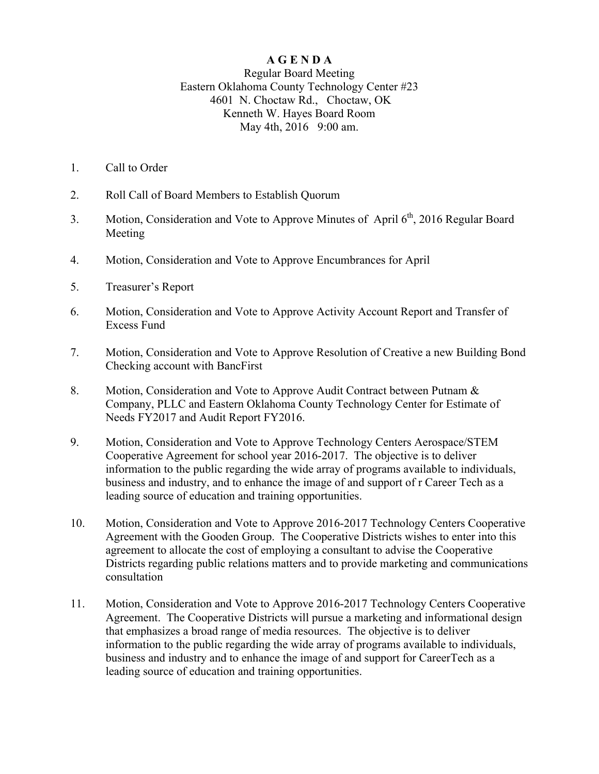## **A G E N D A**

Regular Board Meeting Eastern Oklahoma County Technology Center #23 4601 N. Choctaw Rd., Choctaw, OK Kenneth W. Hayes Board Room May 4th, 2016 9:00 am.

- 1. Call to Order
- 2. Roll Call of Board Members to Establish Quorum
- 3. Motion, Consideration and Vote to Approve Minutes of April  $6<sup>th</sup>$ , 2016 Regular Board Meeting
- 4. Motion, Consideration and Vote to Approve Encumbrances for April
- 5. Treasurer's Report
- 6. Motion, Consideration and Vote to Approve Activity Account Report and Transfer of Excess Fund
- 7. Motion, Consideration and Vote to Approve Resolution of Creative a new Building Bond Checking account with BancFirst
- 8. Motion, Consideration and Vote to Approve Audit Contract between Putnam & Company, PLLC and Eastern Oklahoma County Technology Center for Estimate of Needs FY2017 and Audit Report FY2016.
- 9. Motion, Consideration and Vote to Approve Technology Centers Aerospace/STEM Cooperative Agreement for school year 2016-2017. The objective is to deliver information to the public regarding the wide array of programs available to individuals, business and industry, and to enhance the image of and support of r Career Tech as a leading source of education and training opportunities.
- 10. Motion, Consideration and Vote to Approve 2016-2017 Technology Centers Cooperative Agreement with the Gooden Group. The Cooperative Districts wishes to enter into this agreement to allocate the cost of employing a consultant to advise the Cooperative Districts regarding public relations matters and to provide marketing and communications consultation
- 11. Motion, Consideration and Vote to Approve 2016-2017 Technology Centers Cooperative Agreement. The Cooperative Districts will pursue a marketing and informational design that emphasizes a broad range of media resources. The objective is to deliver information to the public regarding the wide array of programs available to individuals, business and industry and to enhance the image of and support for CareerTech as a leading source of education and training opportunities.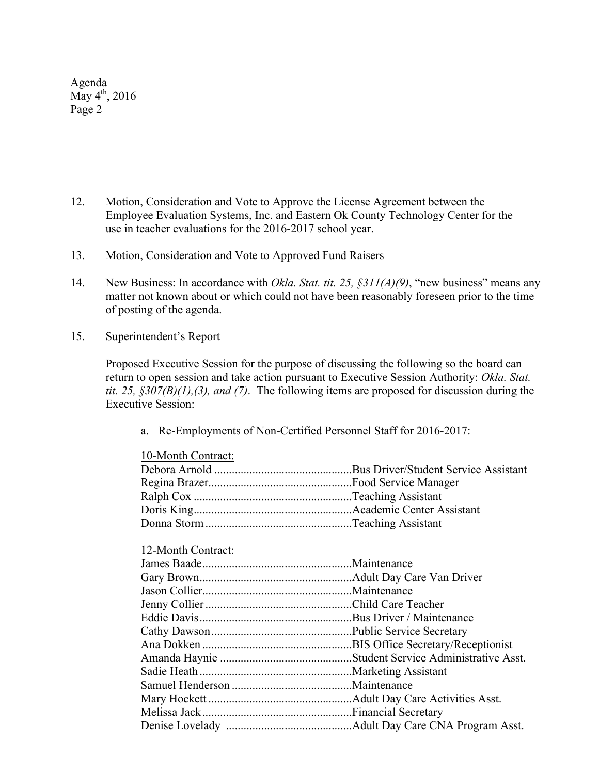Agenda  $\rm{May\,4^{th}, 2016}$ Page 2

- 12. Motion, Consideration and Vote to Approve the License Agreement between the Employee Evaluation Systems, Inc. and Eastern Ok County Technology Center for the use in teacher evaluations for the 2016-2017 school year.
- 13. Motion, Consideration and Vote to Approved Fund Raisers
- 14. New Business: In accordance with *Okla. Stat. tit. 25, §311(A)(9)*, "new business" means any matter not known about or which could not have been reasonably foreseen prior to the time of posting of the agenda.
- 15. Superintendent's Report

Proposed Executive Session for the purpose of discussing the following so the board can return to open session and take action pursuant to Executive Session Authority: *Okla. Stat. tit. 25, §307(B)(1),(3), and (7)*. The following items are proposed for discussion during the Executive Session:

a. Re-Employments of Non-Certified Personnel Staff for 2016-2017:

| 10-Month Contract: |  |
|--------------------|--|
|                    |  |
|                    |  |
|                    |  |
|                    |  |
|                    |  |
| 12-Month Contract: |  |
|                    |  |
|                    |  |
|                    |  |
|                    |  |
|                    |  |
|                    |  |
|                    |  |
|                    |  |
|                    |  |
|                    |  |
|                    |  |
|                    |  |
|                    |  |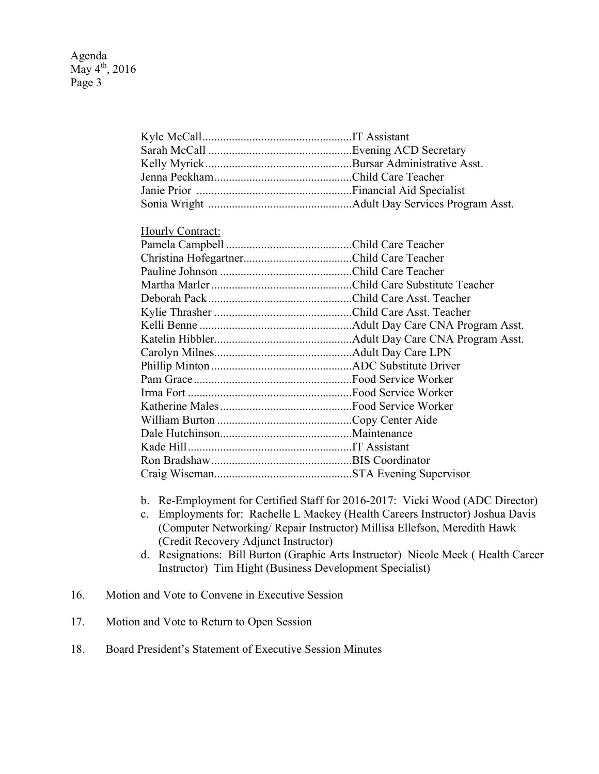| Hourly Contract: |  |
|------------------|--|
|                  |  |
|                  |  |
|                  |  |
|                  |  |
|                  |  |
|                  |  |
|                  |  |
|                  |  |
|                  |  |
|                  |  |
|                  |  |
|                  |  |
|                  |  |
|                  |  |
|                  |  |
|                  |  |
|                  |  |

Kyle McCall...................................................IT Assistant

b. Re-Employment for Certified Staff for 2016-2017: Vicki Wood (ADC Director)

Craig Wiseman...............................................STA Evening Supervisor

- c. Employments for: Rachelle L Mackey (Health Careers Instructor) Joshua Davis (Computer Networking/ Repair Instructor) Millisa Ellefson, Meredith Hawk (Credit Recovery Adjunct Instructor)
- d. Resignations: Bill Burton (Graphic Arts Instructor) Nicole Meek ( Health Career Instructor) Tim Hight (Business Development Specialist)
- 16. Motion and Vote to Convene in Executive Session
- 17. Motion and Vote to Return to Open Session
- 18. Board President's Statement of Executive Session Minutes